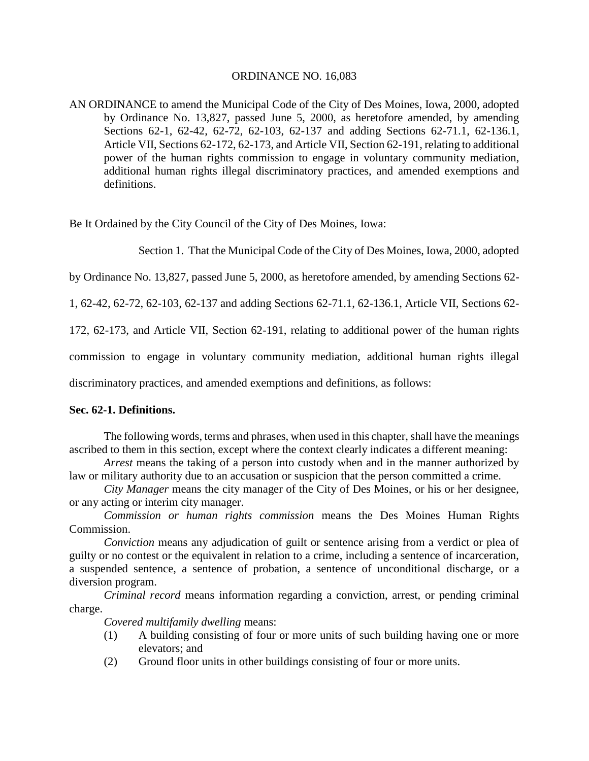#### ORDINANCE NO. 16,083

AN ORDINANCE to amend the Municipal Code of the City of Des Moines, Iowa, 2000, adopted by Ordinance No. 13,827, passed June 5, 2000, as heretofore amended, by amending Sections 62-1, 62-42, 62-72, 62-103, 62-137 and adding Sections 62-71.1, 62-136.1, Article VII, Sections 62-172, 62-173, and Article VII, Section 62-191, relating to additional power of the human rights commission to engage in voluntary community mediation, additional human rights illegal discriminatory practices, and amended exemptions and definitions.

Be It Ordained by the City Council of the City of Des Moines, Iowa:

Section 1. That the Municipal Code of the City of Des Moines, Iowa, 2000, adopted

by Ordinance No. 13,827, passed June 5, 2000, as heretofore amended, by amending Sections 62-

1, 62-42, 62-72, 62-103, 62-137 and adding Sections 62-71.1, 62-136.1, Article VII, Sections 62-

172, 62-173, and Article VII, Section 62-191, relating to additional power of the human rights

commission to engage in voluntary community mediation, additional human rights illegal

discriminatory practices, and amended exemptions and definitions, as follows:

#### **Sec. 62-1. Definitions.**

The following words, terms and phrases, when used in this chapter, shall have the meanings ascribed to them in this section, except where the context clearly indicates a different meaning:

*Arrest* means the taking of a person into custody when and in the manner authorized by law or military authority due to an accusation or suspicion that the person committed a crime.

*City Manager* means the city manager of the City of Des Moines, or his or her designee, or any acting or interim city manager.

*Commission or human rights commission* means the Des Moines Human Rights Commission.

*Conviction* means any adjudication of guilt or sentence arising from a verdict or plea of guilty or no contest or the equivalent in relation to a crime, including a sentence of incarceration, a suspended sentence, a sentence of probation, a sentence of unconditional discharge, or a diversion program.

*Criminal record* means information regarding a conviction, arrest, or pending criminal charge.

*Covered multifamily dwelling* means:

- (1) A building consisting of four or more units of such building having one or more elevators; and
- (2) Ground floor units in other buildings consisting of four or more units.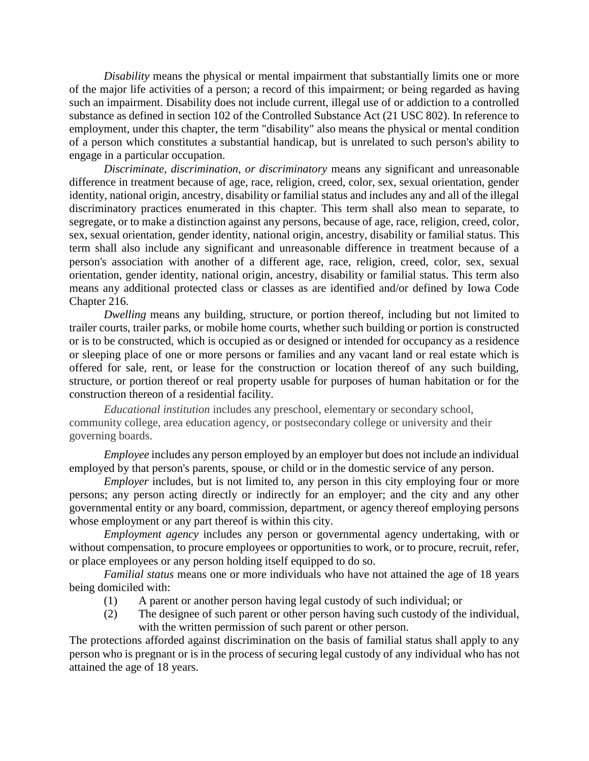*Disability* means the physical or mental impairment that substantially limits one or more of the major life activities of a person; a record of this impairment; or being regarded as having such an impairment. Disability does not include current, illegal use of or addiction to a controlled substance as defined in section 102 of the Controlled Substance Act (21 USC 802). In reference to employment, under this chapter, the term "disability" also means the physical or mental condition of a person which constitutes a substantial handicap, but is unrelated to such person's ability to engage in a particular occupation.

*Discriminate, discrimination, or discriminatory* means any significant and unreasonable difference in treatment because of age, race, religion, creed, color, sex, sexual orientation, gender identity, national origin, ancestry, disability or familial status and includes any and all of the illegal discriminatory practices enumerated in this chapter. This term shall also mean to separate, to segregate, or to make a distinction against any persons, because of age, race, religion, creed, color, sex, sexual orientation, gender identity, national origin, ancestry, disability or familial status. This term shall also include any significant and unreasonable difference in treatment because of a person's association with another of a different age, race, religion, creed, color, sex, sexual orientation, gender identity, national origin, ancestry, disability or familial status. This term also means any additional protected class or classes as are identified and/or defined by Iowa Code Chapter 216.

*Dwelling* means any building, structure, or portion thereof, including but not limited to trailer courts, trailer parks, or mobile home courts, whether such building or portion is constructed or is to be constructed, which is occupied as or designed or intended for occupancy as a residence or sleeping place of one or more persons or families and any vacant land or real estate which is offered for sale, rent, or lease for the construction or location thereof of any such building, structure, or portion thereof or real property usable for purposes of human habitation or for the construction thereon of a residential facility.

*Educational institution* includes any preschool, elementary or secondary school, community college, area education agency, or postsecondary college or university and their governing boards.

*Employee* includes any person employed by an employer but does not include an individual employed by that person's parents, spouse, or child or in the domestic service of any person.

*Employer* includes, but is not limited to, any person in this city employing four or more persons; any person acting directly or indirectly for an employer; and the city and any other governmental entity or any board, commission, department, or agency thereof employing persons whose employment or any part thereof is within this city.

*Employment agency* includes any person or governmental agency undertaking, with or without compensation, to procure employees or opportunities to work, or to procure, recruit, refer, or place employees or any person holding itself equipped to do so.

*Familial status* means one or more individuals who have not attained the age of 18 years being domiciled with:

- (1) A parent or another person having legal custody of such individual; or
- (2) The designee of such parent or other person having such custody of the individual, with the written permission of such parent or other person.

The protections afforded against discrimination on the basis of familial status shall apply to any person who is pregnant or is in the process of securing legal custody of any individual who has not attained the age of 18 years.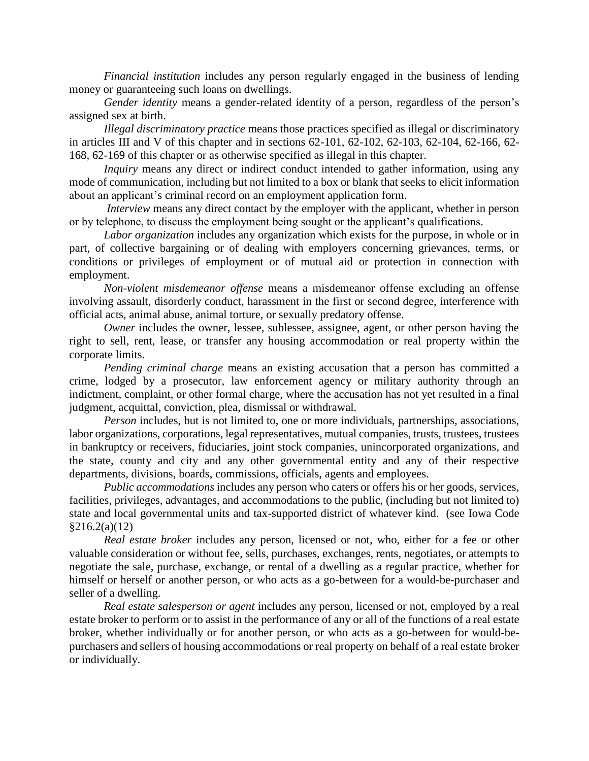*Financial institution* includes any person regularly engaged in the business of lending money or guaranteeing such loans on dwellings.

*Gender identity* means a gender-related identity of a person, regardless of the person's assigned sex at birth.

*Illegal discriminatory practice* means those practices specified as illegal or discriminatory in articles III and V of this chapter and in sections 62-101, 62-102, 62-103, 62-104, 62-166, 62- 168, 62-169 of this chapter or as otherwise specified as illegal in this chapter.

*Inquiry* means any direct or indirect conduct intended to gather information, using any mode of communication, including but not limited to a box or blank that seeks to elicit information about an applicant's criminal record on an employment application form.

*Interview* means any direct contact by the employer with the applicant, whether in person or by telephone, to discuss the employment being sought or the applicant's qualifications.

*Labor organization* includes any organization which exists for the purpose, in whole or in part, of collective bargaining or of dealing with employers concerning grievances, terms, or conditions or privileges of employment or of mutual aid or protection in connection with employment.

*Non-violent misdemeanor offense* means a misdemeanor offense excluding an offense involving assault, disorderly conduct, harassment in the first or second degree, interference with official acts, animal abuse, animal torture, or sexually predatory offense.

*Owner* includes the owner, lessee, sublessee, assignee, agent, or other person having the right to sell, rent, lease, or transfer any housing accommodation or real property within the corporate limits.

*Pending criminal charge* means an existing accusation that a person has committed a crime, lodged by a prosecutor, law enforcement agency or military authority through an indictment, complaint, or other formal charge, where the accusation has not yet resulted in a final judgment, acquittal, conviction, plea, dismissal or withdrawal.

*Person* includes, but is not limited to, one or more individuals, partnerships, associations, labor organizations, corporations, legal representatives, mutual companies, trusts, trustees, trustees in bankruptcy or receivers, fiduciaries, joint stock companies, unincorporated organizations, and the state, county and city and any other governmental entity and any of their respective departments, divisions, boards, commissions, officials, agents and employees.

*Public accommodations* includes any person who caters or offers his or her goods, services, facilities, privileges, advantages, and accommodations to the public, (including but not limited to) state and local governmental units and tax-supported district of whatever kind. (see Iowa Code §216.2(a)(12)

*Real estate broker* includes any person, licensed or not, who, either for a fee or other valuable consideration or without fee, sells, purchases, exchanges, rents, negotiates, or attempts to negotiate the sale, purchase, exchange, or rental of a dwelling as a regular practice, whether for himself or herself or another person, or who acts as a go-between for a would-be-purchaser and seller of a dwelling.

*Real estate salesperson or agent* includes any person, licensed or not, employed by a real estate broker to perform or to assist in the performance of any or all of the functions of a real estate broker, whether individually or for another person, or who acts as a go-between for would-bepurchasers and sellers of housing accommodations or real property on behalf of a real estate broker or individually.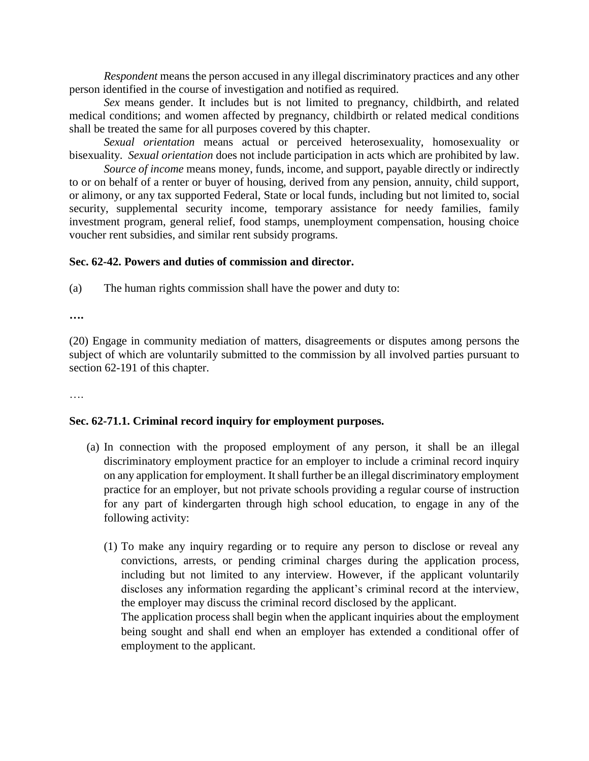*Respondent* means the person accused in any illegal discriminatory practices and any other person identified in the course of investigation and notified as required.

*Sex* means gender. It includes but is not limited to pregnancy, childbirth, and related medical conditions; and women affected by pregnancy, childbirth or related medical conditions shall be treated the same for all purposes covered by this chapter.

*Sexual orientation* means actual or perceived heterosexuality, homosexuality or bisexuality. *Sexual orientation* does not include participation in acts which are prohibited by law.

*Source of income* means money, funds, income, and support, payable directly or indirectly to or on behalf of a renter or buyer of housing, derived from any pension, annuity, child support, or alimony, or any tax supported Federal, State or local funds, including but not limited to, social security, supplemental security income, temporary assistance for needy families, family investment program, general relief, food stamps, unemployment compensation, housing choice voucher rent subsidies, and similar rent subsidy programs.

#### **Sec. 62-42. Powers and duties of commission and director.**

(a) The human rights commission shall have the power and duty to:

**….**

(20) Engage in community mediation of matters, disagreements or disputes among persons the subject of which are voluntarily submitted to the commission by all involved parties pursuant to section 62-191 of this chapter.

….

# **Sec. 62-71.1. Criminal record inquiry for employment purposes.**

- (a) In connection with the proposed employment of any person, it shall be an illegal discriminatory employment practice for an employer to include a criminal record inquiry on any application for employment. It shall further be an illegal discriminatory employment practice for an employer, but not private schools providing a regular course of instruction for any part of kindergarten through high school education, to engage in any of the following activity:
	- (1) To make any inquiry regarding or to require any person to disclose or reveal any convictions, arrests, or pending criminal charges during the application process, including but not limited to any interview. However, if the applicant voluntarily discloses any information regarding the applicant's criminal record at the interview, the employer may discuss the criminal record disclosed by the applicant.

The application process shall begin when the applicant inquiries about the employment being sought and shall end when an employer has extended a conditional offer of employment to the applicant.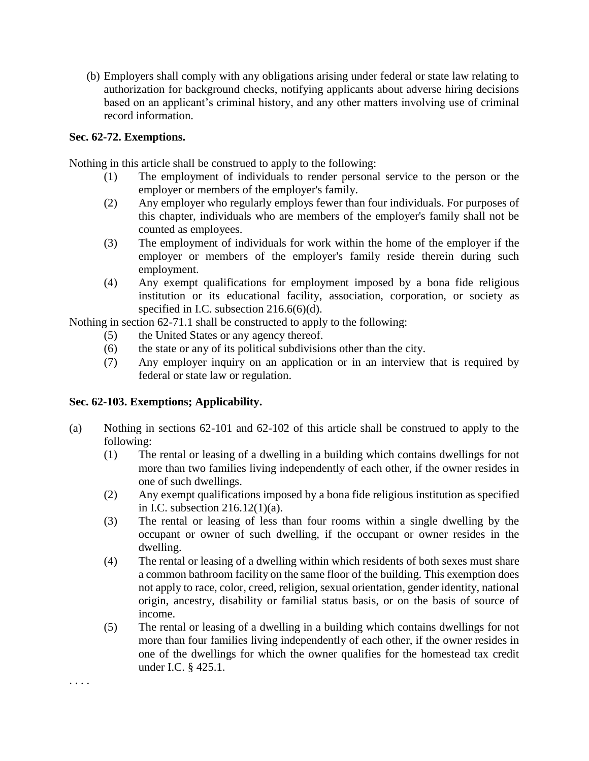(b) Employers shall comply with any obligations arising under federal or state law relating to authorization for background checks, notifying applicants about adverse hiring decisions based on an applicant's criminal history, and any other matters involving use of criminal record information.

#### **Sec. 62-72. Exemptions.**

Nothing in this article shall be construed to apply to the following:

- (1) The employment of individuals to render personal service to the person or the employer or members of the employer's family.
- (2) Any employer who regularly employs fewer than four individuals. For purposes of this chapter, individuals who are members of the employer's family shall not be counted as employees.
- (3) The employment of individuals for work within the home of the employer if the employer or members of the employer's family reside therein during such employment.
- (4) Any exempt qualifications for employment imposed by a bona fide religious institution or its educational facility, association, corporation, or society as specified in I.C. subsection 216.6(6)(d).

Nothing in section 62-71.1 shall be constructed to apply to the following:

- (5) the United States or any agency thereof.
- (6) the state or any of its political subdivisions other than the city.
- (7) Any employer inquiry on an application or in an interview that is required by federal or state law or regulation.

# **Sec. 62-103. Exemptions; Applicability.**

. . . .

- (a) Nothing in sections 62-101 and 62-102 of this article shall be construed to apply to the following:
	- (1) The rental or leasing of a dwelling in a building which contains dwellings for not more than two families living independently of each other, if the owner resides in one of such dwellings.
	- (2) Any exempt qualifications imposed by a bona fide religious institution as specified in I.C. subsection 216.12(1)(a).
	- (3) The rental or leasing of less than four rooms within a single dwelling by the occupant or owner of such dwelling, if the occupant or owner resides in the dwelling.
	- (4) The rental or leasing of a dwelling within which residents of both sexes must share a common bathroom facility on the same floor of the building. This exemption does not apply to race, color, creed, religion, sexual orientation, gender identity, national origin, ancestry, disability or familial status basis, or on the basis of source of income.
	- (5) The rental or leasing of a dwelling in a building which contains dwellings for not more than four families living independently of each other, if the owner resides in one of the dwellings for which the owner qualifies for the homestead tax credit under I.C. § 425.1.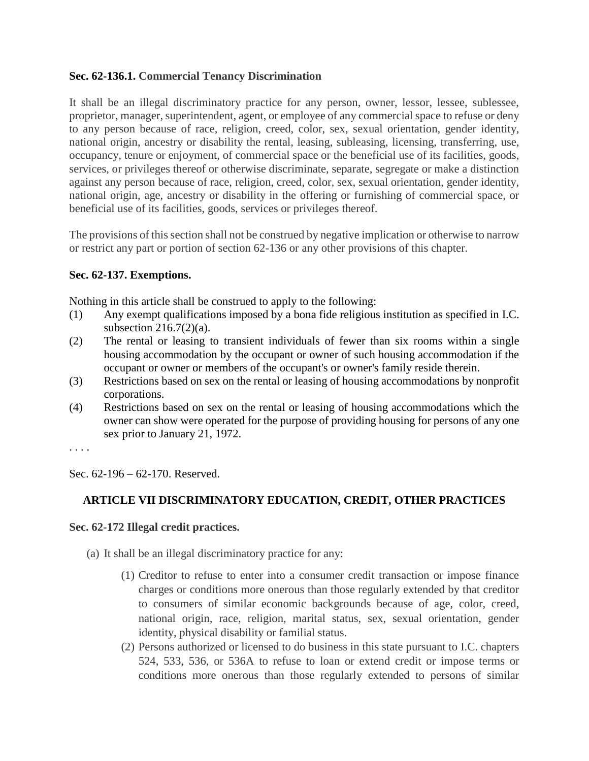# **Sec. 62-136.1. Commercial Tenancy Discrimination**

It shall be an illegal discriminatory practice for any person, owner, lessor, lessee, sublessee, proprietor, manager, superintendent, agent, or employee of any commercial space to refuse or deny to any person because of race, religion, creed, color, sex, sexual orientation, gender identity, national origin, ancestry or disability the rental, leasing, subleasing, licensing, transferring, use, occupancy, tenure or enjoyment, of commercial space or the beneficial use of its facilities, goods, services, or privileges thereof or otherwise discriminate, separate, segregate or make a distinction against any person because of race, religion, creed, color, sex, sexual orientation, gender identity, national origin, age, ancestry or disability in the offering or furnishing of commercial space, or beneficial use of its facilities, goods, services or privileges thereof.

The provisions of this section shall not be construed by negative implication or otherwise to narrow or restrict any part or portion of section 62-136 or any other provisions of this chapter.

# **Sec. 62-137. Exemptions.**

Nothing in this article shall be construed to apply to the following:

- (1) Any exempt qualifications imposed by a bona fide religious institution as specified in I.C. subsection 216.7(2)(a).
- (2) The rental or leasing to transient individuals of fewer than six rooms within a single housing accommodation by the occupant or owner of such housing accommodation if the occupant or owner or members of the occupant's or owner's family reside therein.
- (3) Restrictions based on sex on the rental or leasing of housing accommodations by nonprofit corporations.
- (4) Restrictions based on sex on the rental or leasing of housing accommodations which the owner can show were operated for the purpose of providing housing for persons of any one sex prior to January 21, 1972.

. . . .

Sec. 62-196 – 62-170. Reserved.

# **ARTICLE VII DISCRIMINATORY EDUCATION, CREDIT, OTHER PRACTICES**

#### **Sec. 62-172 Illegal credit practices.**

(a) It shall be an illegal discriminatory practice for any:

- (1) Creditor to refuse to enter into a consumer credit transaction or impose finance charges or conditions more onerous than those regularly extended by that creditor to consumers of similar economic backgrounds because of age, color, creed, national origin, race, religion, marital status, sex, sexual orientation, gender identity, physical disability or familial status.
- (2) Persons authorized or licensed to do business in this state pursuant to I.C. chapters 524, 533, 536, or 536A to refuse to loan or extend credit or impose terms or conditions more onerous than those regularly extended to persons of similar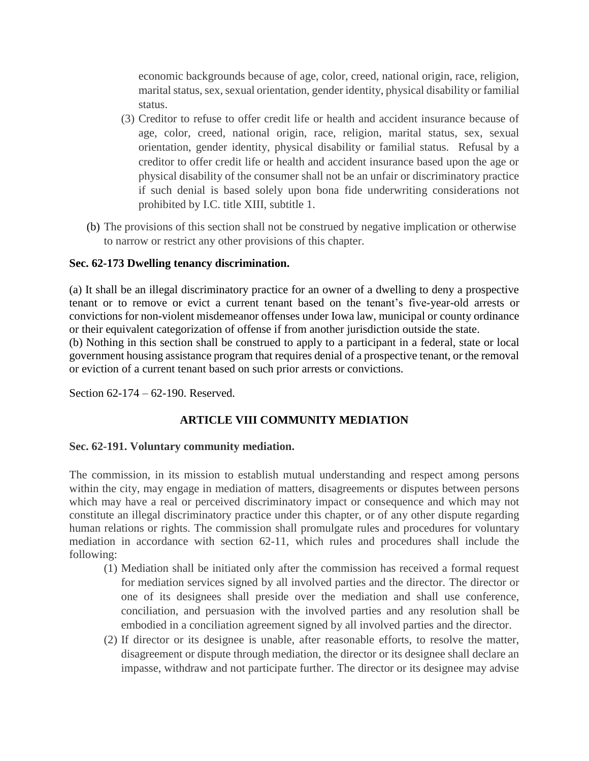economic backgrounds because of age, color, creed, national origin, race, religion, marital status, sex, sexual orientation, gender identity, physical disability or familial status.

- (3) Creditor to refuse to offer credit life or health and accident insurance because of age, color, creed, national origin, race, religion, marital status, sex, sexual orientation, gender identity, physical disability or familial status. Refusal by a creditor to offer credit life or health and accident insurance based upon the age or physical disability of the consumer shall not be an unfair or discriminatory practice if such denial is based solely upon bona fide underwriting considerations not prohibited by I.C. title XIII, subtitle 1.
- (b) The provisions of this section shall not be construed by negative implication or otherwise to narrow or restrict any other provisions of this chapter.

# **Sec. 62-173 Dwelling tenancy discrimination.**

(a) It shall be an illegal discriminatory practice for an owner of a dwelling to deny a prospective tenant or to remove or evict a current tenant based on the tenant's five-year-old arrests or convictions for non-violent misdemeanor offenses under Iowa law, municipal or county ordinance or their equivalent categorization of offense if from another jurisdiction outside the state.

(b) Nothing in this section shall be construed to apply to a participant in a federal, state or local government housing assistance program that requires denial of a prospective tenant, or the removal or eviction of a current tenant based on such prior arrests or convictions.

Section 62-174 – 62-190. Reserved.

# **ARTICLE VIII COMMUNITY MEDIATION**

#### **Sec. 62-191. Voluntary community mediation.**

The commission, in its mission to establish mutual understanding and respect among persons within the city, may engage in mediation of matters, disagreements or disputes between persons which may have a real or perceived discriminatory impact or consequence and which may not constitute an illegal discriminatory practice under this chapter, or of any other dispute regarding human relations or rights. The commission shall promulgate rules and procedures for voluntary mediation in accordance with section 62-11, which rules and procedures shall include the following:

- (1) Mediation shall be initiated only after the commission has received a formal request for mediation services signed by all involved parties and the director. The director or one of its designees shall preside over the mediation and shall use conference, conciliation, and persuasion with the involved parties and any resolution shall be embodied in a conciliation agreement signed by all involved parties and the director.
- (2) If director or its designee is unable, after reasonable efforts, to resolve the matter, disagreement or dispute through mediation, the director or its designee shall declare an impasse, withdraw and not participate further. The director or its designee may advise